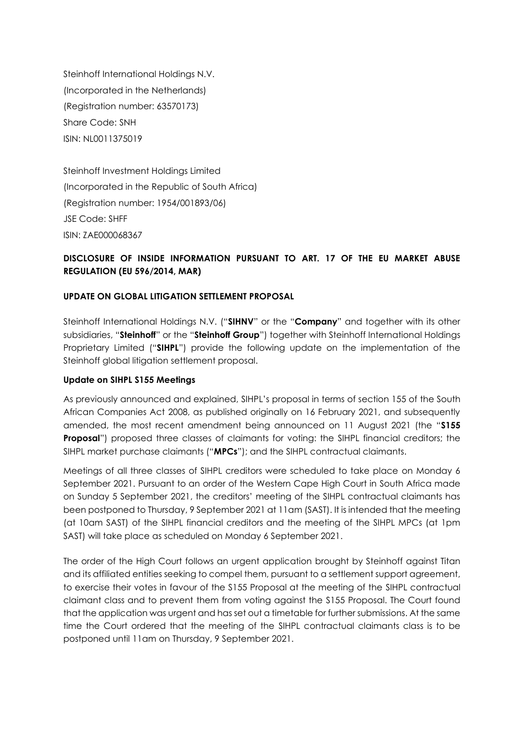Steinhoff International Holdings N.V. (Incorporated in the Netherlands) (Registration number: 63570173) Share Code: SNH ISIN: NL0011375019

Steinhoff Investment Holdings Limited (Incorporated in the Republic of South Africa) (Registration number: 1954/001893/06) JSE Code: SHFF ISIN: ZAE000068367

# **DISCLOSURE OF INSIDE INFORMATION PURSUANT TO ART. 17 OF THE EU MARKET ABUSE REGULATION (EU 596/2014, MAR)**

#### **UPDATE ON GLOBAL LITIGATION SETTLEMENT PROPOSAL**

Steinhoff International Holdings N.V. ("**SIHNV**" or the "**Company**" and together with its other subsidiaries, "**Steinhoff**" or the "**Steinhoff Group**") together with Steinhoff International Holdings Proprietary Limited ("**SIHPL**") provide the following update on the implementation of the Steinhoff global litigation settlement proposal.

#### **Update on SIHPL S155 Meetings**

As previously announced and explained, SIHPL's proposal in terms of section 155 of the South African Companies Act 2008, as published originally on 16 February 2021, and subsequently amended, the most recent amendment being announced on 11 August 2021 (the "**S155 Proposal**") proposed three classes of claimants for voting: the SIHPL financial creditors; the SIHPL market purchase claimants ("**MPCs**"); and the SIHPL contractual claimants.

Meetings of all three classes of SIHPL creditors were scheduled to take place on Monday 6 September 2021. Pursuant to an order of the Western Cape High Court in South Africa made on Sunday 5 September 2021, the creditors' meeting of the SIHPL contractual claimants has been postponed to Thursday, 9 September 2021 at 11am (SAST). It is intended that the meeting (at 10am SAST) of the SIHPL financial creditors and the meeting of the SIHPL MPCs (at 1pm SAST) will take place as scheduled on Monday 6 September 2021.

The order of the High Court follows an urgent application brought by Steinhoff against Titan and its affiliated entities seeking to compel them, pursuant to a settlement support agreement, to exercise their votes in favour of the S155 Proposal at the meeting of the SIHPL contractual claimant class and to prevent them from voting against the S155 Proposal. The Court found that the application was urgent and has set out a timetable for further submissions. At the same time the Court ordered that the meeting of the SIHPL contractual claimants class is to be postponed until 11am on Thursday, 9 September 2021.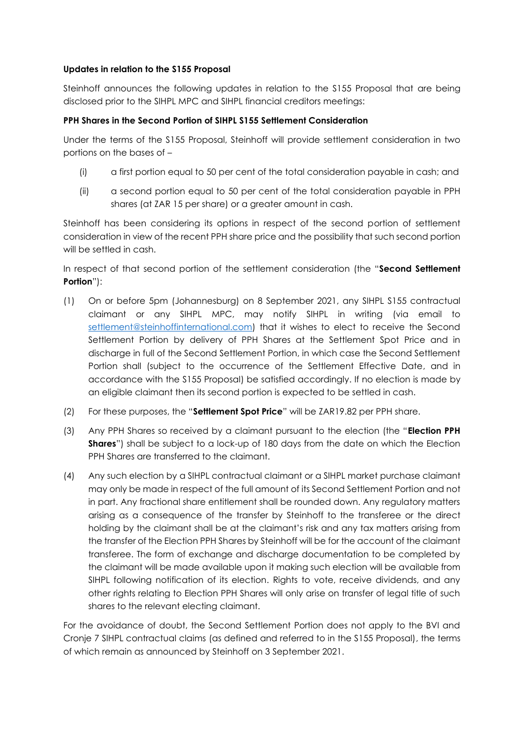# **Updates in relation to the S155 Proposal**

Steinhoff announces the following updates in relation to the S155 Proposal that are being disclosed prior to the SIHPL MPC and SIHPL financial creditors meetings:

# **PPH Shares in the Second Portion of SIHPL S155 Settlement Consideration**

Under the terms of the S155 Proposal, Steinhoff will provide settlement consideration in two portions on the bases of –

- (i) a first portion equal to 50 per cent of the total consideration payable in cash; and
- (ii) a second portion equal to 50 per cent of the total consideration payable in PPH shares (at ZAR 15 per share) or a greater amount in cash.

Steinhoff has been considering its options in respect of the second portion of settlement consideration in view of the recent PPH share price and the possibility that such second portion will be settled in cash.

In respect of that second portion of the settlement consideration (the "**Second Settlement Portion**"):

- (1) On or before 5pm (Johannesburg) on 8 September 2021, any SIHPL S155 contractual claimant or any SIHPL MPC, may notify SIHPL in writing (via email to [settlement@steinhoffinternational.com\)](mailto:settlement@steinhoffinternational.com) that it wishes to elect to receive the Second Settlement Portion by delivery of PPH Shares at the Settlement Spot Price and in discharge in full of the Second Settlement Portion, in which case the Second Settlement Portion shall (subject to the occurrence of the Settlement Effective Date, and in accordance with the S155 Proposal) be satisfied accordingly. If no election is made by an eligible claimant then its second portion is expected to be settled in cash.
- (2) For these purposes, the "**Settlement Spot Price**" will be ZAR19.82 per PPH share.
- (3) Any PPH Shares so received by a claimant pursuant to the election (the "**Election PPH Shares**") shall be subject to a lock-up of 180 days from the date on which the Election PPH Shares are transferred to the claimant.
- (4) Any such election by a SIHPL contractual claimant or a SIHPL market purchase claimant may only be made in respect of the full amount of its Second Settlement Portion and not in part. Any fractional share entitlement shall be rounded down. Any regulatory matters arising as a consequence of the transfer by Steinhoff to the transferee or the direct holding by the claimant shall be at the claimant's risk and any tax matters arising from the transfer of the Election PPH Shares by Steinhoff will be for the account of the claimant transferee. The form of exchange and discharge documentation to be completed by the claimant will be made available upon it making such election will be available from SIHPL following notification of its election. Rights to vote, receive dividends, and any other rights relating to Election PPH Shares will only arise on transfer of legal title of such shares to the relevant electing claimant.

For the avoidance of doubt, the Second Settlement Portion does not apply to the BVI and Cronje 7 SIHPL contractual claims (as defined and referred to in the S155 Proposal), the terms of which remain as announced by Steinhoff on 3 September 2021.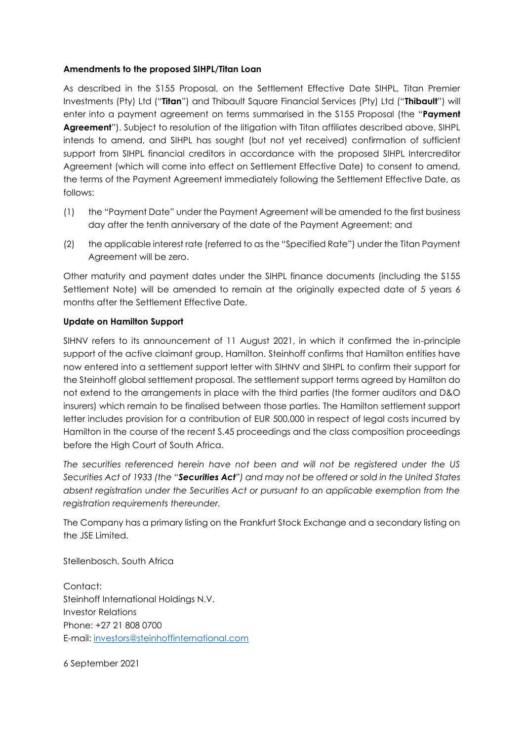# **Amendments to the proposed SIHPL/Titan Loan**

As described in the S155 Proposal, on the Settlement Effective Date SIHPL, Titan Premier Investments (Pty) Ltd ("**Titan**") and Thibault Square Financial Services (Pty) Ltd ("**Thibault**") will enter into a payment agreement on terms summarised in the S155 Proposal (the "**Payment Agreement**"). Subject to resolution of the litigation with Titan affiliates described above, SIHPL intends to amend, and SIHPL has sought (but not yet received) confirmation of sufficient support from SIHPL financial creditors in accordance with the proposed SIHPL Intercreditor Agreement (which will come into effect on Settlement Effective Date) to consent to amend, the terms of the Payment Agreement immediately following the Settlement Effective Date, as follows:

- (1) the "Payment Date" under the Payment Agreement will be amended to the first business day after the tenth anniversary of the date of the Payment Agreement; and
- (2) the applicable interest rate (referred to as the "Specified Rate") under the Titan Payment Agreement will be zero.

Other maturity and payment dates under the SIHPL finance documents (including the S155 Settlement Note) will be amended to remain at the originally expected date of 5 years 6 months after the Settlement Effective Date.

#### **Update on Hamilton Support**

SIHNV refers to its announcement of 11 August 2021, in which it confirmed the in-principle support of the active claimant group, Hamilton. Steinhoff confirms that Hamilton entities have now entered into a settlement support letter with SIHNV and SIHPL to confirm their support for the Steinhoff global settlement proposal. The settlement support terms agreed by Hamilton do not extend to the arrangements in place with the third parties (the former auditors and D&O insurers) which remain to be finalised between those parties. The Hamilton settlement support letter includes provision for a contribution of EUR 500,000 in respect of legal costs incurred by Hamilton in the course of the recent S.45 proceedings and the class composition proceedings before the High Court of South Africa.

*The securities referenced herein have not been and will not be registered under the US Securities Act of 1933 (the "Securities Act") and may not be offered or sold in the United States absent registration under the Securities Act or pursuant to an applicable exemption from the registration requirements thereunder.*

The Company has a primary listing on the Frankfurt Stock Exchange and a secondary listing on the JSE Limited.

Stellenbosch, South Africa

Contact: Steinhoff International Holdings N.V. Investor Relations Phone: +27 21 808 0700 E-mail: [investors@steinhoffinternational.com](mailto:investors@steinhoffinternational.com)

6 September 2021